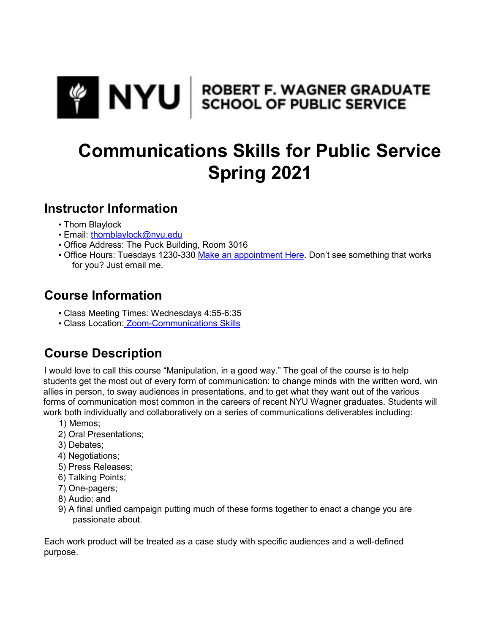

# **Communications Skills for Public Service Spring 2021**

## **Instructor Information**

- Thom Blaylock
- Email: thomblaylock@nyu.edu
- Office Address: The Puck Building, Room 3016
- Office Hours: Tuesdays 1230-330 Make an appointment Here. Don't see something that works for you? Just email me.

## **Course Information**

- Class Meeting Times: Wednesdays 4:55-6:35
- Class Location: Zoom-Communications Skills

## **Course Description**

I would love to call this course "Manipulation, in a good way." The goal of the course is to help students get the most out of every form of communication: to change minds with the written word, win allies in person, to sway audiences in presentations, and to get what they want out of the various forms of communication most common in the careers of recent NYU Wagner graduates. Students will work both individually and collaboratively on a series of communications deliverables including:

- 1) Memos;
- 2) Oral Presentations;
- 3) Debates;
- 4) Negotiations;
- 5) Press Releases;
- 6) Talking Points;
- 7) One-pagers;
- 8) Audio; and
- 9) A final unified campaign putting much of these forms together to enact a change you are passionate about.

Each work product will be treated as a case study with specific audiences and a well-defined purpose.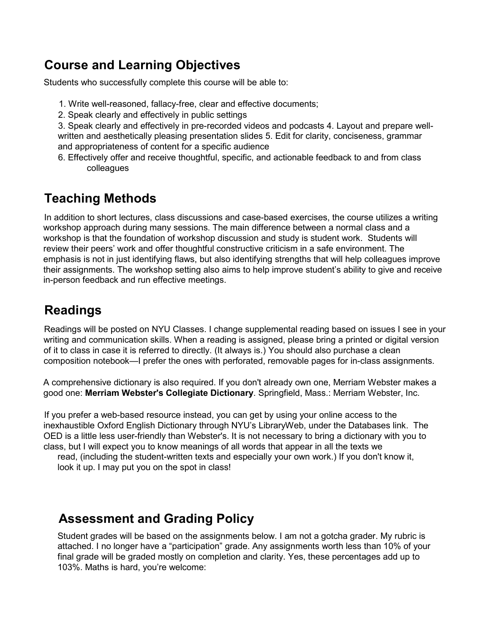## **Course and Learning Objectives**

Students who successfully complete this course will be able to:

- 1. Write well-reasoned, fallacy-free, clear and effective documents;
- 2. Speak clearly and effectively in public settings

3. Speak clearly and effectively in pre-recorded videos and podcasts 4. Layout and prepare wellwritten and aesthetically pleasing presentation slides 5. Edit for clarity, conciseness, grammar and appropriateness of content for a specific audience

6. Effectively offer and receive thoughtful, specific, and actionable feedback to and from class colleagues

## **Teaching Methods**

In addition to short lectures, class discussions and case-based exercises, the course utilizes a writing workshop approach during many sessions. The main difference between a normal class and a workshop is that the foundation of workshop discussion and study is student work. Students will review their peers' work and offer thoughtful constructive criticism in a safe environment. The emphasis is not in just identifying flaws, but also identifying strengths that will help colleagues improve their assignments. The workshop setting also aims to help improve student's ability to give and receive in-person feedback and run effective meetings.

## **Readings**

Readings will be posted on NYU Classes. I change supplemental reading based on issues I see in your writing and communication skills. When a reading is assigned, please bring a printed or digital version of it to class in case it is referred to directly. (It always is.) You should also purchase a clean composition notebook—I prefer the ones with perforated, removable pages for in-class assignments.

A comprehensive dictionary is also required. If you don't already own one, Merriam Webster makes a good one: **Merriam Webster's Collegiate Dictionary**. Springfield, Mass.: Merriam Webster, Inc.

If you prefer a web-based resource instead, you can get by using your online access to the inexhaustible Oxford English Dictionary through NYU's LibraryWeb, under the Databases link. The OED is a little less user-friendly than Webster's. It is not necessary to bring a dictionary with you to class, but I will expect you to know meanings of all words that appear in all the texts we

read, (including the student-written texts and especially your own work.) If you don't know it, look it up. I may put you on the spot in class!

## **Assessment and Grading Policy**

Student grades will be based on the assignments below. I am not a gotcha grader. My rubric is attached. I no longer have a "participation" grade. Any assignments worth less than 10% of your final grade will be graded mostly on completion and clarity. Yes, these percentages add up to 103%. Maths is hard, you're welcome: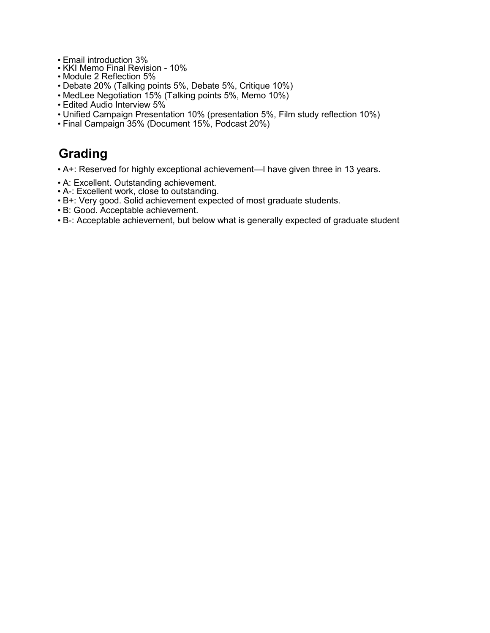- Email introduction 3%
- KKI Memo Final Revision 10%
- Module 2 Reflection 5%
- Debate 20% (Talking points 5%, Debate 5%, Critique 10%)
- MedLee Negotiation 15% (Talking points 5%, Memo 10%)
- Edited Audio Interview 5%
- Unified Campaign Presentation 10% (presentation 5%, Film study reflection 10%)
- Final Campaign 35% (Document 15%, Podcast 20%)

## **Grading**

- A+: Reserved for highly exceptional achievement—I have given three in 13 years.
- A: Excellent. Outstanding achievement.
- A-: Excellent work, close to outstanding.
- B+: Very good. Solid achievement expected of most graduate students.
- B: Good. Acceptable achievement.
- B-: Acceptable achievement, but below what is generally expected of graduate student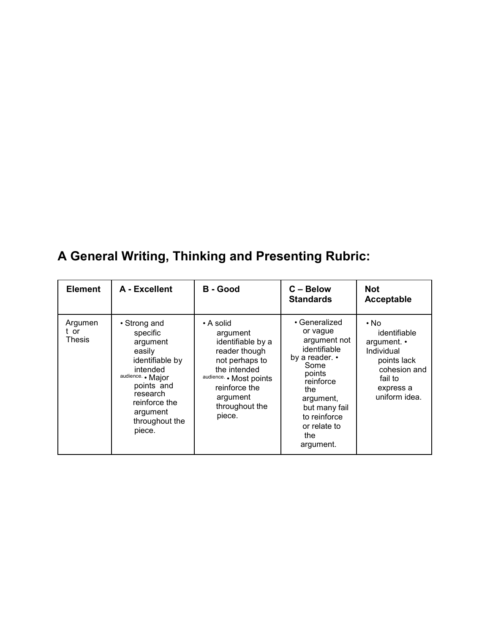## **A General Writing, Thinking and Presenting Rubric:**

| <b>Element</b>            | A - Excellent                                                                                                                                                                         | <b>B</b> - Good                                                                                                                                                                   | $C - Below$<br><b>Standards</b>                                                                                                                                                                     | <b>Not</b><br>Acceptable                                                                                                  |
|---------------------------|---------------------------------------------------------------------------------------------------------------------------------------------------------------------------------------|-----------------------------------------------------------------------------------------------------------------------------------------------------------------------------------|-----------------------------------------------------------------------------------------------------------------------------------------------------------------------------------------------------|---------------------------------------------------------------------------------------------------------------------------|
| Argumen<br>t or<br>Thesis | • Strong and<br>specific<br>argument<br>easily<br>identifiable by<br>intended<br>audience. • Major<br>points and<br>research<br>reinforce the<br>argument<br>throughout the<br>piece. | • A solid<br>argument<br>identifiable by a<br>reader though<br>not perhaps to<br>the intended<br>audience. • Most points<br>reinforce the<br>argument<br>throughout the<br>piece. | • Generalized<br>or vague<br>argument not<br>identifiable<br>by a reader. •<br>Some<br>points<br>reinforce<br>the<br>argument,<br>but many fail<br>to reinforce<br>or relate to<br>the<br>argument. | • No<br>identifiable<br>argument. •<br>Individual<br>points lack<br>cohesion and<br>fail to<br>express a<br>uniform idea. |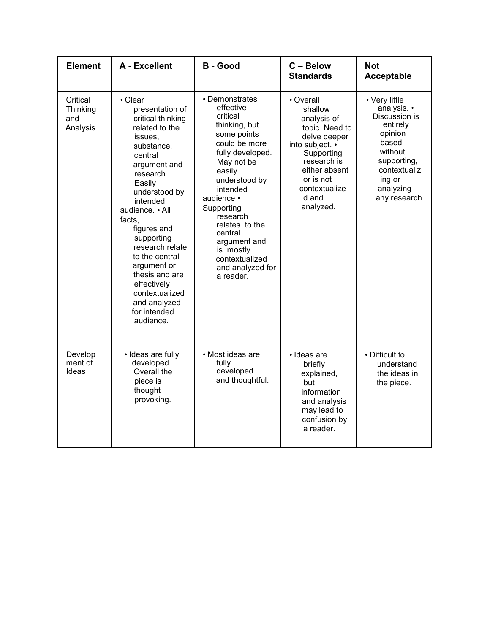| <b>Element</b>                          | A - Excellent                                                                                                                                                                                                                                                                                                                                                                           | <b>B</b> - Good                                                                                                                                                                                                                                                                                                        | C - Below<br><b>Standards</b>                                                                                                                                                              | <b>Not</b><br><b>Acceptable</b>                                                                                                                                |
|-----------------------------------------|-----------------------------------------------------------------------------------------------------------------------------------------------------------------------------------------------------------------------------------------------------------------------------------------------------------------------------------------------------------------------------------------|------------------------------------------------------------------------------------------------------------------------------------------------------------------------------------------------------------------------------------------------------------------------------------------------------------------------|--------------------------------------------------------------------------------------------------------------------------------------------------------------------------------------------|----------------------------------------------------------------------------------------------------------------------------------------------------------------|
| Critical<br>Thinking<br>and<br>Analysis | • Clear<br>presentation of<br>critical thinking<br>related to the<br>issues.<br>substance,<br>central<br>argument and<br>research.<br>Easily<br>understood by<br>intended<br>audience. • All<br>facts.<br>figures and<br>supporting<br>research relate<br>to the central<br>argument or<br>thesis and are<br>effectively<br>contextualized<br>and analyzed<br>for intended<br>audience. | • Demonstrates<br>effective<br>critical<br>thinking, but<br>some points<br>could be more<br>fully developed.<br>May not be<br>easily<br>understood by<br>intended<br>audience •<br>Supporting<br>research<br>relates to the<br>central<br>argument and<br>is mostly<br>contextualized<br>and analyzed for<br>a reader. | • Overall<br>shallow<br>analysis of<br>topic. Need to<br>delve deeper<br>into subject. •<br>Supporting<br>research is<br>either absent<br>or is not<br>contextualize<br>d and<br>analyzed. | • Very little<br>analysis. •<br>Discussion is<br>entirely<br>opinion<br>based<br>without<br>supporting,<br>contextualiz<br>ing or<br>analyzing<br>any research |
| Develop<br>ment of<br>Ideas             | · Ideas are fully<br>developed.<br>Overall the<br>piece is<br>thought<br>provoking.                                                                                                                                                                                                                                                                                                     | • Most ideas are<br>fully<br>developed<br>and thoughtful.                                                                                                                                                                                                                                                              | • Ideas are<br>briefly<br>explained,<br>but<br>information<br>and analysis<br>may lead to<br>confusion by<br>a reader.                                                                     | • Difficult to<br>understand<br>the ideas in<br>the piece.                                                                                                     |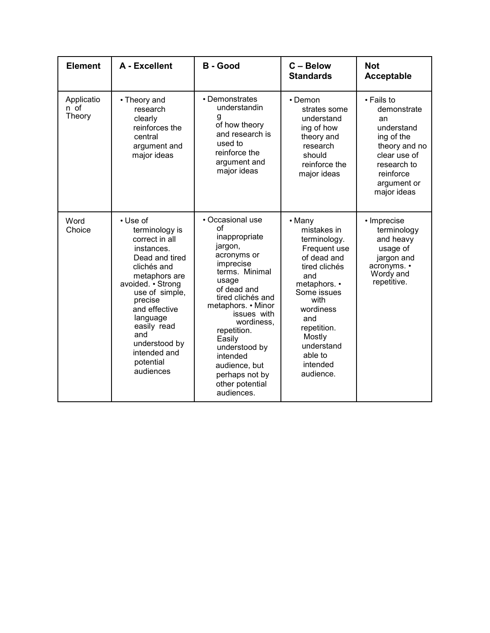| <b>Element</b>               | A - Excellent                                                                                                                                                                                                                                                                | <b>B</b> - Good                                                                                                                                                                                                                                                                                                            | C - Below<br><b>Standards</b>                                                                                                                                                                                                      | <b>Not</b><br><b>Acceptable</b>                                                                                                                        |
|------------------------------|------------------------------------------------------------------------------------------------------------------------------------------------------------------------------------------------------------------------------------------------------------------------------|----------------------------------------------------------------------------------------------------------------------------------------------------------------------------------------------------------------------------------------------------------------------------------------------------------------------------|------------------------------------------------------------------------------------------------------------------------------------------------------------------------------------------------------------------------------------|--------------------------------------------------------------------------------------------------------------------------------------------------------|
| Applicatio<br>n of<br>Theory | • Theory and<br>research<br>clearly<br>reinforces the<br>central<br>argument and<br>major ideas                                                                                                                                                                              | • Demonstrates<br>understandin<br>g<br>of how theory<br>and research is<br>used to<br>reinforce the<br>argument and<br>major ideas                                                                                                                                                                                         | $\cdot$ Demon<br>strates some<br>understand<br>ing of how<br>theory and<br>research<br>should<br>reinforce the<br>major ideas                                                                                                      | • Fails to<br>demonstrate<br>an<br>understand<br>ing of the<br>theory and no<br>clear use of<br>research to<br>reinforce<br>argument or<br>major ideas |
| Word<br>Choice               | • Use of<br>terminology is<br>correct in all<br>instances.<br>Dead and tired<br>clichés and<br>metaphors are<br>avoided. • Strong<br>use of simple,<br>precise<br>and effective<br>language<br>easily read<br>and<br>understood by<br>intended and<br>potential<br>audiences | • Occasional use<br>of<br>inappropriate<br>jargon,<br>acronyms or<br>imprecise<br>terms. Minimal<br>usage<br>of dead and<br>tired clichés and<br>metaphors. • Minor<br>issues with<br>wordiness,<br>repetition.<br>Easily<br>understood by<br>intended<br>audience, but<br>perhaps not by<br>other potential<br>audiences. | • Many<br>mistakes in<br>terminology.<br>Frequent use<br>of dead and<br>tired clichés<br>and<br>metaphors. •<br>Some issues<br>with<br>wordiness<br>and<br>repetition.<br>Mostly<br>understand<br>able to<br>intended<br>audience. | • Imprecise<br>terminology<br>and heavy<br>usage of<br>jargon and<br>acronyms. •<br>Wordy and<br>repetitive.                                           |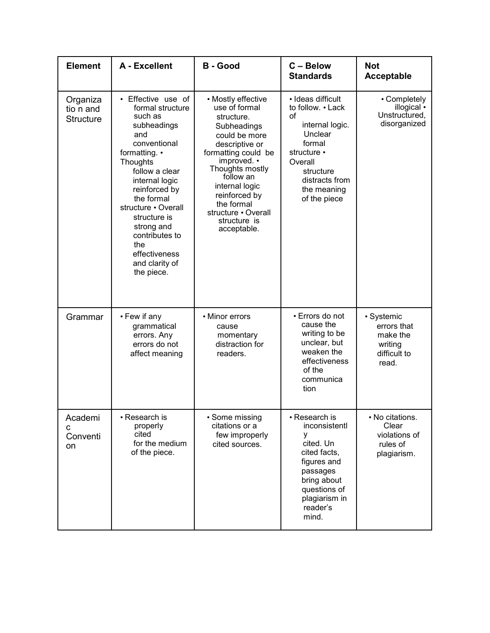| <b>Element</b>                            | A - Excellent                                                                                                                                                                                                                                                                                                          | <b>B</b> - Good                                                                                                                                                                                                                                                                  | C - Below<br><b>Standards</b>                                                                                                                                                | <b>Not</b><br><b>Acceptable</b>                                           |
|-------------------------------------------|------------------------------------------------------------------------------------------------------------------------------------------------------------------------------------------------------------------------------------------------------------------------------------------------------------------------|----------------------------------------------------------------------------------------------------------------------------------------------------------------------------------------------------------------------------------------------------------------------------------|------------------------------------------------------------------------------------------------------------------------------------------------------------------------------|---------------------------------------------------------------------------|
| Organiza<br>tio n and<br><b>Structure</b> | • Effective use of<br>formal structure<br>such as<br>subheadings<br>and<br>conventional<br>formatting. •<br>Thoughts<br>follow a clear<br>internal logic<br>reinforced by<br>the formal<br>structure • Overall<br>structure is<br>strong and<br>contributes to<br>the<br>effectiveness<br>and clarity of<br>the piece. | • Mostly effective<br>use of formal<br>structure.<br>Subheadings<br>could be more<br>descriptive or<br>formatting could be<br>improved. •<br>Thoughts mostly<br>follow an<br>internal logic<br>reinforced by<br>the formal<br>structure · Overall<br>structure is<br>acceptable. | · Ideas difficult<br>to follow. • Lack<br>οf<br>internal logic.<br>Unclear<br>formal<br>structure •<br>Overall<br>structure<br>distracts from<br>the meaning<br>of the piece | • Completely<br>illogical •<br>Unstructured,<br>disorganized              |
| Grammar                                   | • Few if any<br>grammatical<br>errors. Any<br>errors do not<br>affect meaning                                                                                                                                                                                                                                          | • Minor errors<br>cause<br>momentary<br>distraction for<br>readers.                                                                                                                                                                                                              | · Errors do not<br>cause the<br>writing to be<br>unclear, but<br>weaken the<br>effectiveness<br>of the<br>communica<br>tion                                                  | • Systemic<br>errors that<br>make the<br>writing<br>difficult to<br>read. |
| Academi<br>C<br>Conventi<br>on            | • Research is<br>properly<br>cited<br>for the medium<br>of the piece.                                                                                                                                                                                                                                                  | • Some missing<br>citations or a<br>few improperly<br>cited sources.                                                                                                                                                                                                             | • Research is<br>inconsistentl<br>у<br>cited. Un<br>cited facts,<br>figures and<br>passages<br>bring about<br>questions of<br>plagiarism in<br>reader's<br>mind.             | • No citations.<br>Clear<br>violations of<br>rules of<br>plagiarism.      |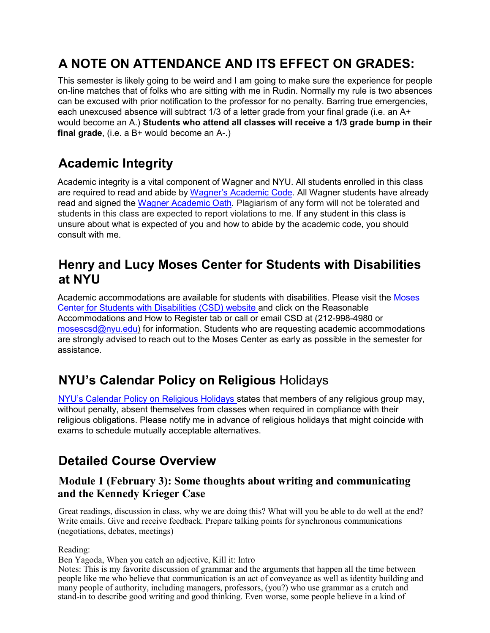## **A NOTE ON ATTENDANCE AND ITS EFFECT ON GRADES:**

This semester is likely going to be weird and I am going to make sure the experience for people on-line matches that of folks who are sitting with me in Rudin. Normally my rule is two absences can be excused with prior notification to the professor for no penalty. Barring true emergencies, each unexcused absence will subtract 1/3 of a letter grade from your final grade (i.e. an A+ would become an A.) **Students who attend all classes will receive a 1/3 grade bump in their final grade**, (i.e. a B+ would become an A-.)

## **Academic Integrity**

Academic integrity is a vital component of Wagner and NYU. All students enrolled in this class are required to read and abide by Wagner's Academic Code. All Wagner students have already read and signed the Wagner Academic Oath. Plagiarism of any form will not be tolerated and students in this class are expected to report violations to me. If any student in this class is unsure about what is expected of you and how to abide by the academic code, you should consult with me.

## **Henry and Lucy Moses Center for Students with Disabilities at NYU**

Academic accommodations are available for students with disabilities. Please visit the Moses Center for Students with Disabilities (CSD) website and click on the Reasonable Accommodations and How to Register tab or call or email CSD at (212-998-4980 or mosescsd@nyu.edu) for information. Students who are requesting academic accommodations are strongly advised to reach out to the Moses Center as early as possible in the semester for assistance.

## **NYU's Calendar Policy on Religious** Holidays

NYU's Calendar Policy on Religious Holidays states that members of any religious group may, without penalty, absent themselves from classes when required in compliance with their religious obligations. Please notify me in advance of religious holidays that might coincide with exams to schedule mutually acceptable alternatives.

## **Detailed Course Overview**

## **Module 1 (February 3): Some thoughts about writing and communicating and the Kennedy Krieger Case**

Great readings, discussion in class, why we are doing this? What will you be able to do well at the end? Write emails. Give and receive feedback. Prepare talking points for synchronous communications (negotiations, debates, meetings)

Reading:

Ben Yagoda, When you catch an adjective, Kill it: Intro

Notes: This is my favorite discussion of grammar and the arguments that happen all the time between people like me who believe that communication is an act of conveyance as well as identity building and many people of authority, including managers, professors, (you?) who use grammar as a crutch and stand-in to describe good writing and good thinking. Even worse, some people believe in a kind of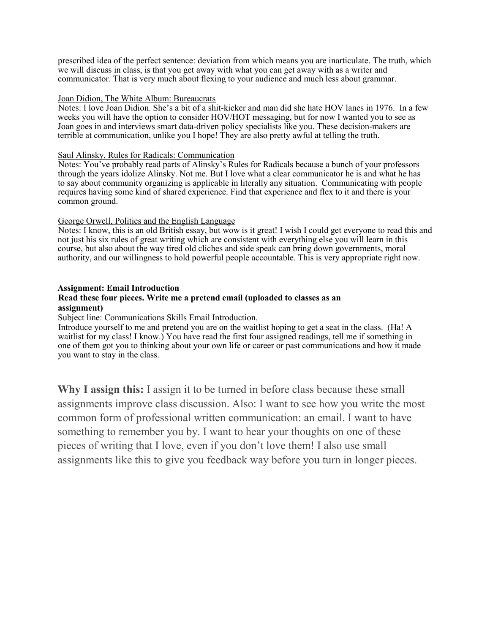prescribed idea of the perfect sentence: deviation from which means you are inarticulate. The truth, which we will discuss in class, is that you get away with what you can get away with as a writer and communicator. That is very much about flexing to your audience and much less about grammar.

#### Joan Didion, The White Album: Bureaucrats

Notes: I love Joan Didion. She's a bit of a shit-kicker and man did she hate HOV lanes in 1976. In a few weeks you will have the option to consider HOV/HOT messaging, but for now I wanted you to see as Joan goes in and interviews smart data-driven policy specialists like you. These decision-makers are terrible at communication, unlike you I hope! They are also pretty awful at telling the truth.

### Saul Alinsky, Rules for Radicals: Communication

Notes: You've probably read parts of Alinsky's Rules for Radicals because a bunch of your professors through the years idolize Alinsky. Not me. But I love what a clear communicator he is and what he has to say about community organizing is applicable in literally any situation. Communicating with people requires having some kind of shared experience. Find that experience and flex to it and there is your common ground.

### George Orwell, Politics and the English Language

Notes: I know, this is an old British essay, but wow is it great! I wish I could get everyone to read this and not just his six rules of great writing which are consistent with everything else you will learn in this course, but also about the way tired old cliches and side speak can bring down governments, moral authority, and our willingness to hold powerful people accountable. This is very appropriate right now.

### **Assignment: Email Introduction**

### **Read these four pieces. Write me a pretend email (uploaded to classes as an assignment)**

Subject line: Communications Skills Email Introduction.

Introduce yourself to me and pretend you are on the waitlist hoping to get a seat in the class. (Ha! A waitlist for my class! I know.) You have read the first four assigned readings, tell me if something in one of them got you to thinking about your own life or career or past communications and how it made you want to stay in the class.

**Why I assign this:** I assign it to be turned in before class because these small assignments improve class discussion. Also: I want to see how you write the most common form of professional written communication: an email. I want to have something to remember you by. I want to hear your thoughts on one of these pieces of writing that I love, even if you don't love them! I also use small assignments like this to give you feedback way before you turn in longer pieces.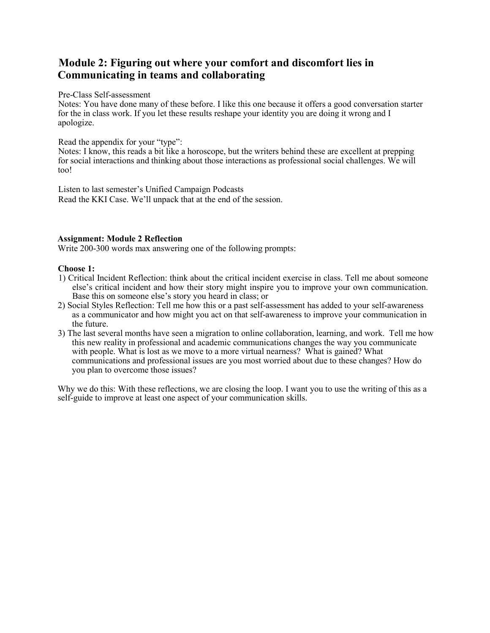## **Module 2: Figuring out where your comfort and discomfort lies in Communicating in teams and collaborating**

### Pre-Class Self-assessment

Notes: You have done many of these before. I like this one because it offers a good conversation starter for the in class work. If you let these results reshape your identity you are doing it wrong and I apologize.

### Read the appendix for your "type":

Notes: I know, this reads a bit like a horoscope, but the writers behind these are excellent at prepping for social interactions and thinking about those interactions as professional social challenges. We will too!

Listen to last semester's Unified Campaign Podcasts Read the KKI Case. We'll unpack that at the end of the session.

## **Assignment: Module 2 Reflection**

Write 200-300 words max answering one of the following prompts:

### **Choose 1:**

- 1) Critical Incident Reflection: think about the critical incident exercise in class. Tell me about someone else's critical incident and how their story might inspire you to improve your own communication. Base this on someone else's story you heard in class; or
- 2) Social Styles Reflection: Tell me how this or a past self-assessment has added to your self-awareness as a communicator and how might you act on that self-awareness to improve your communication in the future.
- 3) The last several months have seen a migration to online collaboration, learning, and work. Tell me how this new reality in professional and academic communications changes the way you communicate with people. What is lost as we move to a more virtual nearness? What is gained? What communications and professional issues are you most worried about due to these changes? How do you plan to overcome those issues?

Why we do this: With these reflections, we are closing the loop. I want you to use the writing of this as a self-guide to improve at least one aspect of your communication skills.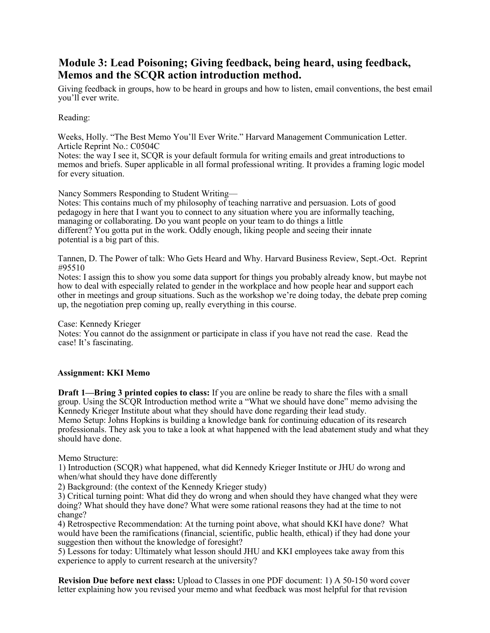## **Module 3: Lead Poisoning; Giving feedback, being heard, using feedback, Memos and the SCQR action introduction method.**

Giving feedback in groups, how to be heard in groups and how to listen, email conventions, the best email you'll ever write.

### Reading:

Weeks, Holly. "The Best Memo You'll Ever Write." Harvard Management Communication Letter. Article Reprint No.: C0504C

Notes: the way I see it, SCQR is your default formula for writing emails and great introductions to memos and briefs. Super applicable in all formal professional writing. It provides a framing logic model for every situation.

Nancy Sommers Responding to Student Writing—

Notes: This contains much of my philosophy of teaching narrative and persuasion. Lots of good pedagogy in here that I want you to connect to any situation where you are informally teaching, managing or collaborating. Do you want people on your team to do things a little different? You gotta put in the work. Oddly enough, liking people and seeing their innate potential is a big part of this.

Tannen, D. The Power of talk: Who Gets Heard and Why. Harvard Business Review, Sept.-Oct. Reprint #95510

Notes: I assign this to show you some data support for things you probably already know, but maybe not how to deal with especially related to gender in the workplace and how people hear and support each other in meetings and group situations. Such as the workshop we're doing today, the debate prep coming up, the negotiation prep coming up, really everything in this course.

Case: Kennedy Krieger

Notes: You cannot do the assignment or participate in class if you have not read the case. Read the case! It's fascinating.

### **Assignment: KKI Memo**

**Draft 1—Bring 3 printed copies to class:** If you are online be ready to share the files with a small group. Using the SCQR Introduction method write a "What we should have done" memo advising the Kennedy Krieger Institute about what they should have done regarding their lead study. Memo Setup: Johns Hopkins is building a knowledge bank for continuing education of its research professionals. They ask you to take a look at what happened with the lead abatement study and what they should have done.

Memo Structure:

1) Introduction (SCQR) what happened, what did Kennedy Krieger Institute or JHU do wrong and when/what should they have done differently

2) Background: (the context of the Kennedy Krieger study)

3) Critical turning point: What did they do wrong and when should they have changed what they were doing? What should they have done? What were some rational reasons they had at the time to not change?

4) Retrospective Recommendation: At the turning point above, what should KKI have done? What would have been the ramifications (financial, scientific, public health, ethical) if they had done your suggestion then without the knowledge of foresight?

5) Lessons for today: Ultimately what lesson should JHU and KKI employees take away from this experience to apply to current research at the university?

**Revision Due before next class:** Upload to Classes in one PDF document: 1) A 50-150 word cover letter explaining how you revised your memo and what feedback was most helpful for that revision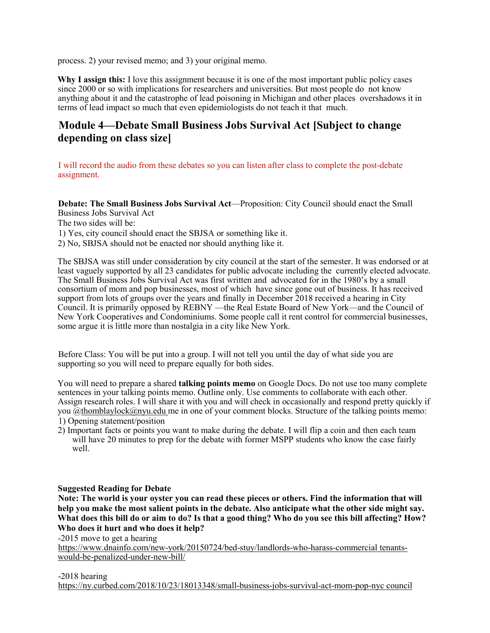process. 2) your revised memo; and 3) your original memo.

**Why I assign this:** I love this assignment because it is one of the most important public policy cases since 2000 or so with implications for researchers and universities. But most people do not know anything about it and the catastrophe of lead poisoning in Michigan and other places overshadows it in terms of lead impact so much that even epidemiologists do not teach it that much.

## **Module 4—Debate Small Business Jobs Survival Act [Subject to change depending on class size]**

I will record the audio from these debates so you can listen after class to complete the post-debate assignment.

**Debate: The Small Business Jobs Survival Act**—Proposition: City Council should enact the Small Business Jobs Survival Act

The two sides will be:

1) Yes, city council should enact the SBJSA or something like it.

2) No, SBJSA should not be enacted nor should anything like it.

The SBJSA was still under consideration by city council at the start of the semester. It was endorsed or at least vaguely supported by all 23 candidates for public advocate including the currently elected advocate. The Small Business Jobs Survival Act was first written and advocated for in the 1980's by a small consortium of mom and pop businesses, most of which have since gone out of business. It has received support from lots of groups over the years and finally in December 2018 received a hearing in City Council. It is primarily opposed by REBNY —the Real Estate Board of New York—and the Council of New York Cooperatives and Condominiums. Some people call it rent control for commercial businesses, some argue it is little more than nostalgia in a city like New York.

Before Class: You will be put into a group. I will not tell you until the day of what side you are supporting so you will need to prepare equally for both sides.

You will need to prepare a shared **talking points memo** on Google Docs. Do not use too many complete sentences in your talking points memo. Outline only. Use comments to collaborate with each other. Assign research roles. I will share it with you and will check in occasionally and respond pretty quickly if you @thomblaylock@nyu.edu me in one of your comment blocks. Structure of the talking points memo: 1) Opening statement/position

2) Important facts or points you want to make during the debate. I will flip a coin and then each team will have 20 minutes to prep for the debate with former MSPP students who know the case fairly well.

#### **Suggested Reading for Debate**

**Note: The world is your oyster you can read these pieces or others. Find the information that will help you make the most salient points in the debate. Also anticipate what the other side might say. What does this bill do or aim to do? Is that a good thing? Who do you see this bill affecting? How? Who does it hurt and who does it help?** 

-2015 move to get a hearing

https://www.dnainfo.com/new-york/20150724/bed-stuy/landlords-who-harass-commercial tenantswould-be-penalized-under-new-bill/

-2018 hearing

https://ny.curbed.com/2018/10/23/18013348/small-business-jobs-survival-act-mom-pop-nyc council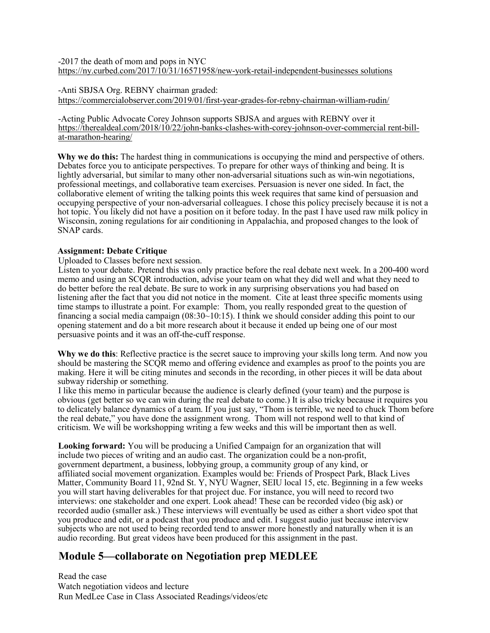-2017 the death of mom and pops in NYC https://ny.curbed.com/2017/10/31/16571958/new-york-retail-independent-businesses solutions

-Anti SBJSA Org. REBNY chairman graded: https://commercialobserver.com/2019/01/first-year-grades-for-rebny-chairman-william-rudin/

-Acting Public Advocate Corey Johnson supports SBJSA and argues with REBNY over it https://therealdeal.com/2018/10/22/john-banks-clashes-with-corey-johnson-over-commercial rent-billat-marathon-hearing/

**Why we do this:** The hardest thing in communications is occupying the mind and perspective of others. Debates force you to anticipate perspectives. To prepare for other ways of thinking and being. It is lightly adversarial, but similar to many other non-adversarial situations such as win-win negotiations, professional meetings, and collaborative team exercises. Persuasion is never one sided. In fact, the collaborative element of writing the talking points this week requires that same kind of persuasion and occupying perspective of your non-adversarial colleagues. I chose this policy precisely because it is not a hot topic. You likely did not have a position on it before today. In the past I have used raw milk policy in Wisconsin, zoning regulations for air conditioning in Appalachia, and proposed changes to the look of SNAP cards.

### **Assignment: Debate Critique**

Uploaded to Classes before next session.

Listen to your debate. Pretend this was only practice before the real debate next week. In a 200-400 word memo and using an SCQR introduction, advise your team on what they did well and what they need to do better before the real debate. Be sure to work in any surprising observations you had based on listening after the fact that you did not notice in the moment. Cite at least three specific moments using time stamps to illustrate a point. For example: Thom, you really responded great to the question of financing a social media campaign  $(08:30~10:15)$ . I think we should consider adding this point to our opening statement and do a bit more research about it because it ended up being one of our most persuasive points and it was an off-the-cuff response.

**Why we do this**: Reflective practice is the secret sauce to improving your skills long term. And now you should be mastering the SCQR memo and offering evidence and examples as proof to the points you are making. Here it will be citing minutes and seconds in the recording, in other pieces it will be data about subway ridership or something.

I like this memo in particular because the audience is clearly defined (your team) and the purpose is obvious (get better so we can win during the real debate to come.) It is also tricky because it requires you to delicately balance dynamics of a team. If you just say, "Thom is terrible, we need to chuck Thom before the real debate," you have done the assignment wrong. Thom will not respond well to that kind of criticism. We will be workshopping writing a few weeks and this will be important then as well.

**Looking forward:** You will be producing a Unified Campaign for an organization that will include two pieces of writing and an audio cast. The organization could be a non-profit, government department, a business, lobbying group, a community group of any kind, or affiliated social movement organization. Examples would be: Friends of Prospect Park, Black Lives Matter, Community Board 11, 92nd St. Y, NYU Wagner, SEIU local 15, etc. Beginning in a few weeks you will start having deliverables for that project due. For instance, you will need to record two interviews: one stakeholder and one expert. Look ahead! These can be recorded video (big ask) or recorded audio (smaller ask.) These interviews will eventually be used as either a short video spot that you produce and edit, or a podcast that you produce and edit. I suggest audio just because interview subjects who are not used to being recorded tend to answer more honestly and naturally when it is an audio recording. But great videos have been produced for this assignment in the past.

## **Module 5—collaborate on Negotiation prep MEDLEE**

Read the case Watch negotiation videos and lecture Run MedLee Case in Class Associated Readings/videos/etc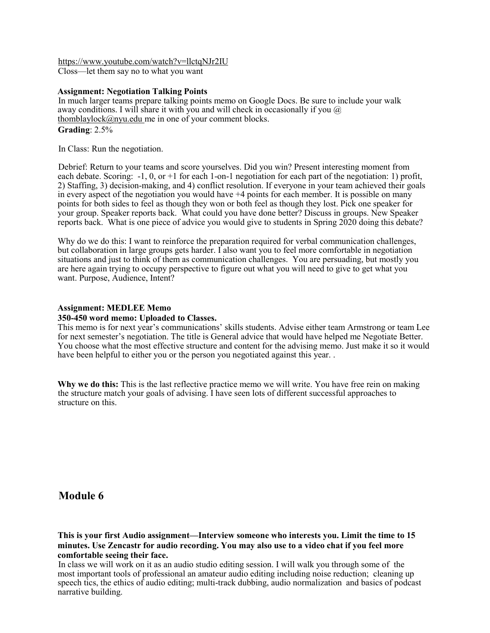https://www.youtube.com/watch?v=llctqNJr2IU Closs—let them say no to what you want

### **Assignment: Negotiation Talking Points**

In much larger teams prepare talking points memo on Google Docs. Be sure to include your walk away conditions. I will share it with you and will check in occasionally if you  $\omega$ thomblaylock@nyu.edu me in one of your comment blocks. **Grading**: 2.5%

In Class: Run the negotiation.

Debrief: Return to your teams and score yourselves. Did you win? Present interesting moment from each debate. Scoring:  $-1$ , 0, or  $+1$  for each 1-on-1 negotiation for each part of the negotiation: 1) profit, 2) Staffing, 3) decision-making, and 4) conflict resolution. If everyone in your team achieved their goals in every aspect of the negotiation you would have +4 points for each member. It is possible on many points for both sides to feel as though they won or both feel as though they lost. Pick one speaker for your group. Speaker reports back. What could you have done better? Discuss in groups. New Speaker reports back. What is one piece of advice you would give to students in Spring 2020 doing this debate?

Why do we do this: I want to reinforce the preparation required for verbal communication challenges, but collaboration in large groups gets harder. I also want you to feel more comfortable in negotiation situations and just to think of them as communication challenges. You are persuading, but mostly you are here again trying to occupy perspective to figure out what you will need to give to get what you want. Purpose, Audience, Intent?

#### **Assignment: MEDLEE Memo**

#### **350-450 word memo: Uploaded to Classes.**

This memo is for next year's communications' skills students. Advise either team Armstrong or team Lee for next semester's negotiation. The title is General advice that would have helped me Negotiate Better. You choose what the most effective structure and content for the advising memo. Just make it so it would have been helpful to either you or the person you negotiated against this year...

**Why we do this:** This is the last reflective practice memo we will write. You have free rein on making the structure match your goals of advising. I have seen lots of different successful approaches to structure on this.

## **Module 6**

**This is your first Audio assignment—Interview someone who interests you. Limit the time to 15 minutes. Use Zencastr for audio recording. You may also use to a video chat if you feel more comfortable seeing their face.** 

In class we will work on it as an audio studio editing session. I will walk you through some of the most important tools of professional an amateur audio editing including noise reduction; cleaning up speech tics, the ethics of audio editing; multi-track dubbing, audio normalization and basics of podcast narrative building.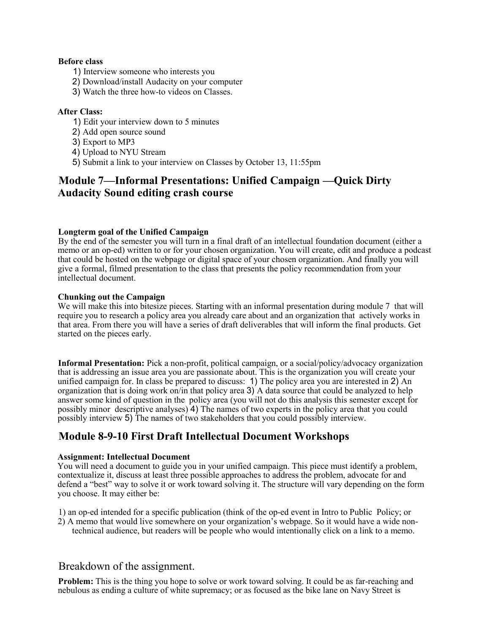### **Before class**

- 1) Interview someone who interests you
- 2) Download/install Audacity on your computer
- 3) Watch the three how-to videos on Classes.

## **After Class:**

- 1) Edit your interview down to 5 minutes
- 2) Add open source sound
- 3) Export to MP3
- 4) Upload to NYU Stream
- 5) Submit a link to your interview on Classes by October 13, 11:55pm

## **Module 7—Informal Presentations: Unified Campaign —Quick Dirty Audacity Sound editing crash course**

### **Longterm goal of the Unified Campaign**

By the end of the semester you will turn in a final draft of an intellectual foundation document (either a memo or an op-ed) written to or for your chosen organization. You will create, edit and produce a podcast that could be hosted on the webpage or digital space of your chosen organization. And finally you will give a formal, filmed presentation to the class that presents the policy recommendation from your intellectual document.

### **Chunking out the Campaign**

We will make this into bitesize pieces. Starting with an informal presentation during module 7 that will require you to research a policy area you already care about and an organization that actively works in that area. From there you will have a series of draft deliverables that will inform the final products. Get started on the pieces early.

**Informal Presentation:** Pick a non-profit, political campaign, or a social/policy/advocacy organization that is addressing an issue area you are passionate about. This is the organization you will create your unified campaign for. In class be prepared to discuss: 1) The policy area you are interested in 2) An organization that is doing work on/in that policy area 3) A data source that could be analyzed to help answer some kind of question in the policy area (you will not do this analysis this semester except for possibly minor descriptive analyses) 4) The names of two experts in the policy area that you could possibly interview 5) The names of two stakeholders that you could possibly interview.

## **Module 8-9-10 First Draft Intellectual Document Workshops**

### **Assignment: Intellectual Document**

You will need a document to guide you in your unified campaign. This piece must identify a problem, contextualize it, discuss at least three possible approaches to address the problem, advocate for and defend a "best" way to solve it or work toward solving it. The structure will vary depending on the form you choose. It may either be:

1) an op-ed intended for a specific publication (think of the op-ed event in Intro to Public Policy; or

2) A memo that would live somewhere on your organization's webpage. So it would have a wide nontechnical audience, but readers will be people who would intentionally click on a link to a memo.

## Breakdown of the assignment.

**Problem:** This is the thing you hope to solve or work toward solving. It could be as far-reaching and nebulous as ending a culture of white supremacy; or as focused as the bike lane on Navy Street is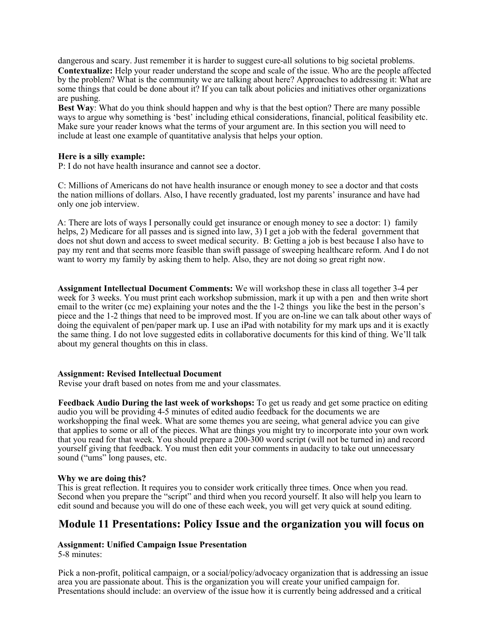dangerous and scary. Just remember it is harder to suggest cure-all solutions to big societal problems. **Contextualize:** Help your reader understand the scope and scale of the issue. Who are the people affected by the problem? What is the community we are talking about here? Approaches to addressing it: What are some things that could be done about it? If you can talk about policies and initiatives other organizations are pushing.

**Best Way**: What do you think should happen and why is that the best option? There are many possible ways to argue why something is 'best' including ethical considerations, financial, political feasibility etc. Make sure your reader knows what the terms of your argument are. In this section you will need to include at least one example of quantitative analysis that helps your option.

#### **Here is a silly example:**

P: I do not have health insurance and cannot see a doctor.

C: Millions of Americans do not have health insurance or enough money to see a doctor and that costs the nation millions of dollars. Also, I have recently graduated, lost my parents' insurance and have had only one job interview.

A: There are lots of ways I personally could get insurance or enough money to see a doctor: 1) family helps, 2) Medicare for all passes and is signed into law, 3) I get a job with the federal government that does not shut down and access to sweet medical security. B: Getting a job is best because I also have to pay my rent and that seems more feasible than swift passage of sweeping healthcare reform. And I do not want to worry my family by asking them to help. Also, they are not doing so great right now.

**Assignment Intellectual Document Comments:** We will workshop these in class all together 3-4 per week for 3 weeks. You must print each workshop submission, mark it up with a pen and then write short email to the writer (cc me) explaining your notes and the the 1-2 things you like the best in the person's piece and the 1-2 things that need to be improved most. If you are on-line we can talk about other ways of doing the equivalent of pen/paper mark up. I use an iPad with notability for my mark ups and it is exactly the same thing. I do not love suggested edits in collaborative documents for this kind of thing. We'll talk about my general thoughts on this in class.

#### **Assignment: Revised Intellectual Document**

Revise your draft based on notes from me and your classmates.

**Feedback Audio During the last week of workshops:** To get us ready and get some practice on editing audio you will be providing 4-5 minutes of edited audio feedback for the documents we are workshopping the final week. What are some themes you are seeing, what general advice you can give that applies to some or all of the pieces. What are things you might try to incorporate into your own work that you read for that week. You should prepare a 200-300 word script (will not be turned in) and record yourself giving that feedback. You must then edit your comments in audacity to take out unnecessary sound ("ums" long pauses, etc.

#### **Why we are doing this?**

This is great reflection. It requires you to consider work critically three times. Once when you read. Second when you prepare the "script" and third when you record yourself. It also will help you learn to edit sound and because you will do one of these each week, you will get very quick at sound editing.

## **Module 11 Presentations: Policy Issue and the organization you will focus on**

#### **Assignment: Unified Campaign Issue Presentation**

5-8 minutes:

Pick a non-profit, political campaign, or a social/policy/advocacy organization that is addressing an issue area you are passionate about. This is the organization you will create your unified campaign for. Presentations should include: an overview of the issue how it is currently being addressed and a critical